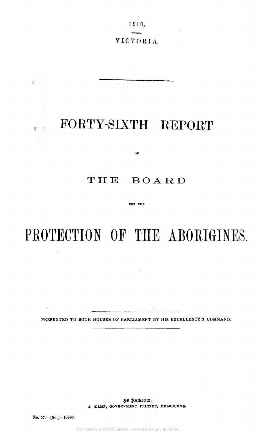$\sim$ 1910.

# VICTORIA.

# FORTY-SIXTH REPORT

 $\bar{z}$ 

# THE BOARD

 $\overline{\text{OP}}$  and  $\overline{\text{OP}}$ 

FOR THE

# PROTECTION OF THE ABORIGINES.

 $\sim$  .

PRESENTED TO BOTH HOUSES OF PARLIAMENT BY HIS EXCELLENCY'S COMMAND.

Sy Authority: *J,* **KEMP, GOVERNMENT PRINTER, MELBOURNE.** 

No. 57.—[9d.] —16393.

 $\sim$   $\mu$ 

 $\frac{1}{2\sqrt{2}}\left( \frac{1}{2}\right) ^{2}$ 

800 D

 $\frac{1}{2} \lambda_{\rm{Q}}$ 

 $\mathcal{A}^{\mathcal{A}}$ 

 $\mathcal{A}$ 

Digitised by AIATSIS Library - www.aiatsis.gov.au/library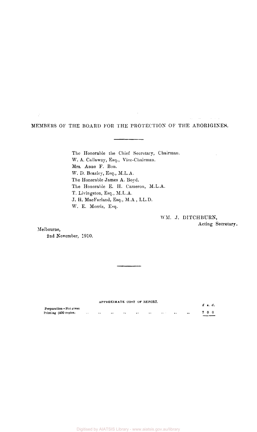MEMBERS OF THE BOARD FOR THE PROTECTION OF THE ABORIGINES.

The Honorable the Chief Secretary, Chairman. W. A. Callaway, Esq., Vice-Chairman. Mrs. Anne F. Bon. W. D. Beazley, Esq., M.L.A. The Honorable James A. Boyd. The Honorable E. H. Cameron, M.L.A. T. Livingston, Esq., M.L.A. J. H. MacFarland, Esq., M.A , LL.D. W. E. Morris, Esq.

# WM. J. DITCHBURN, Acting Secretary.

Melbourne,

 $\hat{\vec{z}}$ 

2nd November, 1910.

#### APPROXIMATE COST OP REPORT.

|                       |                      |              |               |                             |           | AFFRUALMATE COST OF REFORM. |                                   |           |  | $\pmb{f}$ $\pmb{s}$ , $\pmb{d}$ , |
|-----------------------|----------------------|--------------|---------------|-----------------------------|-----------|-----------------------------|-----------------------------------|-----------|--|-----------------------------------|
| Preparation-Not given |                      |              |               |                             |           |                             |                                   |           |  |                                   |
| Printing (400 copies) | $\sim$ $\sim$ $\sim$ | $\cdot\cdot$ | $\cdot \cdot$ | $\sim$ $\sim$ $\sim$ $\sim$ | $\cdot$ . | $\bullet$                   | <b>Contract Contract Contract</b> | $\bullet$ |  | 700                               |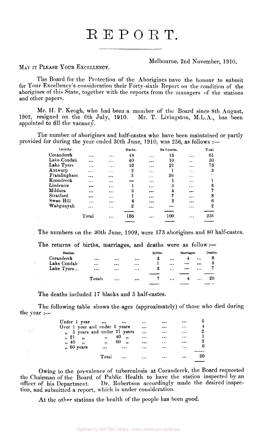# REPORT.

# Melbourne, 2nd November, 1910.

MAY IT PLEASE YOUR EXCELLENCY.

398

The Board for the Protection of the Aborigines have the honour to submit for Your Excellency's consideration their Forty-sixth Report on the condition of the aborigines of this State, together with the reports from the managers of the stations and other papers.

Mr. H. P. Keogh, who had been a member of the Board since 8th August, resigned on the 6th July, 1910. Mr. T. Livingston, M.L.A., has been 1902, resigned on the 6th July, 1910. appointed to fill the vacancy.

The number of aborigines and half-castes who have been maintained or partly provided for during the year ended 30th June, 1910, was 256, as follows :—

| Locality.   |          |          | Blacks. |          | Ha f-castes. |                               | Total.  |
|-------------|----------|----------|---------|----------|--------------|-------------------------------|---------|
| Coranderrk  |          | $\cdots$ | 48      | $\cdots$ | 13           | $\cdots$                      | 61      |
| Lake Condah |          | $\cdots$ | 40      |          | 10           | $\bullet$ $\bullet$ $\bullet$ | 50      |
| Lake Tyers  | $\cdots$ | $\cdots$ | 52      | $\cdots$ | 21           |                               | 73      |
| Antwerp     | $\cdots$ | $\cdots$ | 2       | $\cdots$ |              | $\cdots$                      | 3       |
| Framlingham |          |          | 3       | $\cdots$ | 36           | $\cdots$                      | $\cdot$ |
| Koondrook   | $\cdots$ | $\cdots$ |         | $\cdots$ |              | $\cdots$                      |         |
| Lindenow    |          |          |         |          | õ            | $\cdots$                      | 6       |
| Mildura     | $\cdots$ |          | 3       |          | 4            |                               |         |
| Stratford   |          | $\cdots$ |         |          |              | $\cdots$                      | Я       |
| Swan Hill   | $\cdots$ |          | 4       |          | 2            |                               | 6       |
| Wahgunyah   | .        | $\cdots$ | 2       | $\cdots$ |              |                               | 2       |
|             |          |          |         |          |              |                               |         |
|             | Total    | $\cdots$ | 156     | $\cdots$ | 100          |                               | 256     |
|             |          |          |         |          |              |                               |         |

The numbers on the 30th June, 1909, were 173 aborigines and 80 half-castes.

|             |          | The returns of births, marriages, and deaths were as follow:- |          |         |          |            |          |         |
|-------------|----------|---------------------------------------------------------------|----------|---------|----------|------------|----------|---------|
| Station.    |          |                                                               |          | Births. |          | Marriages. |          | Deaths. |
| Coranderrk  | $\cdots$ |                                                               |          |         | $\cdots$ | 4          | $\cdots$ |         |
| Lake Condah | $\cdots$ |                                                               | $\cdots$ |         | $\cdots$ |            |          | 5       |
| Lake Tyers  | $\cdots$ | $\cdots$                                                      |          | -3      | $\cdots$ |            | $\cdots$ |         |
|             |          |                                                               |          |         |          |            |          |         |
|             | Totals   | $\cdots$                                                      |          |         | $\cdots$ |            | $\cdots$ | 20      |
|             |          |                                                               |          |         |          |            |          |         |

The deaths included 17 blacks and 3 half-castes.

The following table shows the ages (approximately) of those who died during the year :—

| Under 1 year                  |                          |          |          |          |          |    |
|-------------------------------|--------------------------|----------|----------|----------|----------|----|
| Over 1 year and under 5 years |                          |          | $\cdots$ |          | $\cdots$ |    |
| ", 5 years and under 21 years |                          |          |          |          |          | 2  |
| " 21                          | $\overline{\phantom{a}}$ | 40,      | $\cdots$ |          |          |    |
| , 40,                         | , , ,                    | 60,      | $\cdots$ | $\cdots$ | $\cdots$ | 2  |
| ", 60 years                   | $\cdots$                 | $\cdots$ | $\cdots$ |          |          | 6  |
|                               |                          |          |          |          |          |    |
|                               | Total                    |          | $\cdots$ | $\cdots$ |          | 20 |
|                               |                          |          |          |          |          |    |

Owing to the prevalence of tuberculosis at Coranderrk, the Board requested the Chairman of the Board of Public Health to have the station inspected by an officer of his Department. Dr. Robertson accordingly made the desired inspection, and submitted a report, which is under consideration.

At the other stations the health of the people has been good.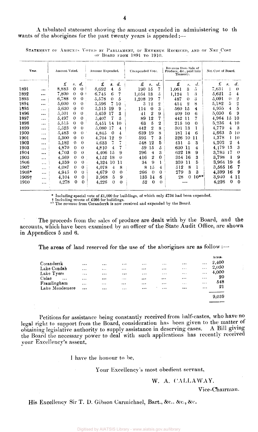A tabulated statement showing the amount expended in administering to th wants of the aborigines for the past twenty years is appended:—

1 Revenue from Sale of Year. Amount Voted. Amount Expended. Unexpended Vote Net Cost of Board. Produce, &c., paid into<br>Treasury. *£*  £ *s. £ s. d.*  s. *d.*  £ *s. d. £ s. d. d.*  1891 8,883 0 0  $8,692$  4 5<br>6.745 6 7 190 15 7  $\begin{array}{cc} 1,061 & 3 \\ 1,124 & 1 \end{array}$  $7,631$  1 0<br>5,621 5 4 5  $\ddotsc$ 1892 7,800  $\theta$  $0<sup>1</sup>$  $6,745$  6 7<br>5,578 0 5  $\begin{array}{cc} 1,124 & 1 \\ 487 & 0 \end{array}$ 3  $5,621 \quad 5$  $\ddotsc$ 1,054 13 5  $5,578$  0 5<br> $5,596$  7 10 1893  $\ddotsc$ 6,788  $\Omega$  $\Omega$ 1,208 19 7  $\begin{array}{cc} 487 & 0 \\ 414 & 2 \end{array}$ 3  $5,091$  0 2<br> $5,182$  5 2 1894 5,600  $\theta$  $\Omega$  $\frac{5,596}{5,515}$  19  $\begin{array}{cc} 3 & 12 \\ 4 & 0 \end{array}$ 2 414 2 8  $\begin{array}{cc} 5,182 & 5 & 2 \\ 4,955 & 4 & 5 \end{array}$  $\ddotsc$ 1895 5,630 5,515 19 9  $\theta$ 560 15  $4,955$   $4$  5<br>5.050 6 9  $\Omega$  $\begin{array}{cc} 114 & 0 \\ 41 & 2 \end{array}$ 3 4 . . . 1896 5,501  $\Omega$  $\Omega$  $5,459$  17 3<br> $5,407$  7 5 41 2 9 409 10 6 5,050 6 9  $\ddotsc$ 5,497  $5,407$   $7$   $5$ <br> $5,451$   $14$   $10$ 1897  $\theta$  $\theta$  $\begin{array}{@{}c@{\hspace{1em}}c@{\hspace{1em}}l} 89 & 12 \\ 63 & 5 \end{array}$ 7 442 11  $4,964$ 7  $\ddotsc$ 5,236 4 10 1898 5,515  $\Omega$  $\Omega$ 5,451 14 10  $\begin{array}{cc} 63 & 5 \ 442 & 2 \end{array}$  $\overline{2}$ 215 10  $\Omega$  $\ddotsc$ 1899 0  $\frac{4,779}{4,663}$   $\frac{4}{5}$   $\frac{3}{10}$ 5,523  $\theta$ 5,080 17 4 442 2 8 301 13 1  $\ddotsc$ 5,483  $\begin{array}{cc} 4,663 & 5 & 10 \\ 4,378 & 1 & 10 \end{array}$ 1900  $\theta$ **0**  639 19<br>595 7 8  $4,845$  0  $4$ <br> $4,704$  12 9 181 14 6  $\ddotsc$ 1901 5,300 0  $\theta$ 4,704 12 595 7 3  $\begin{array}{cccc} 4,378 & 1 & 10 \\ 4,202 & 2 & 4 \end{array}$ ... 326 10 11 1902 5,182 0  $\theta$ 4,633 7 7 548 12 5 431 5 3  $\frac{4,202}{4,179}$   $\frac{2}{13}$   $\frac{4}{3}$  $\ddotsc$  $4,179$  13 3<br>3,783 17 0 1903 4,870  $\theta$  $\theta$ 4,810 4 7 59 15  $\ddot{\mathrm{o}}$ 630 11 4  $\ddotsc$ 4,703 0  $\begin{array}{cc} 296 & 4 \\ 416 & 2 \end{array}$ 622 18  $\begin{array}{cc} 3,783 & 17 & 0 \\ 3,798 & 1 & 9 \end{array}$ 1904  $\theta$ 4,406 15 9 3 9  $\ddotsc$ 0 354 16 3  $3,798$  1 1905 4.569  $\Omega$  $\Omega$ 4,152 18 0  $\frac{416}{34}$   $\frac{2}{9}$ ... 1906 4,359  $\theta$  $\theta$ 4,324 10 11  $\frac{34}{8}$  $\begin{array}{cc} 359 & 11 \\ 512 & 8 \end{array}$ 5 3,964 19 6 1  $\ddotsc$ 1907 4.087  $\theta$ 0 4,078 4 8 512 1 3,565 16 7 8 15 4  $\ddotsc$ 1908\* 4,399 16 9 0  $\begin{array}{cc} 279 & 3 \\ 28 & 0 \end{array}$ 4,945  $\Omega$  $\theta$  $4,679$  0 0<br>3.968 5 9 266 0 3  $\ddotsc$  $3,940$  4 11<br>4.226 0 0 1909 4,104  $\Omega$ 0  $\begin{array}{cccc} 3,968 & 5 & 9 \\ 4,226 & 0 & 0 \end{array}$ 135 14 6 28 0 10\*\*  $\ddotsc$  $4,226$ 4,278 0  $\theta$ 1910 4,226 52 0  $\Omega$  $\ddotsc$ i

STATEMENT OF AMOUNTS VOTED BY PARLIAMENT, OF REVENUE RECEIVED, AND OF NET COST OF BOARD FROM 1891 TO 1910.

Including special vote of £1,000 for buildings, of which only £734 had been expended.

Including revote of £266 for buildings. \*\* The revenue from Coranderrk is now received and expended by the Board.

The proceeds from the sales of produce are dealt with by the Board, and the accounts, which have been examined by an officer of the State Audit Office, are shown in Appendices 5 and 6.

The areas of land reserved for the use of the aborigines are as follow:-

|                      |          |          |          |          |          |          |          | Acres.   |
|----------------------|----------|----------|----------|----------|----------|----------|----------|----------|
| Coranderrk           | $\cdots$ | $\cdots$ | $\cdots$ |          | $\cdots$ | $\cdots$ | $\cdots$ | $-2,400$ |
| Lake Cond <b>a</b> h | $\cdots$ | $\cdots$ | .        | $\cdots$ | $\cdots$ | $\cdots$ | $\cdots$ | 2,050    |
| Lake Tyers           | $\cdots$ | $\cdots$ | $\cdots$ | $\cdots$ | $\cdots$ | $\cdots$ | $\cdots$ | 4,000    |
| Colac<br>$\ddotsc$   | $\cdots$ |          | $\cdots$ |          | $\cdots$ | $\cdots$ | .        | -20      |
| Framlingham          | $\cdots$ | $\cdots$ |          | $\cdots$ | $\cdots$ | $\cdots$ | $\cdots$ | 548      |
| Lake Moodemere       | $\cdots$ |          | $\cdots$ |          | $\cdots$ |          | $\cdots$ | 21       |
|                      |          |          |          |          |          |          |          |          |
|                      |          |          |          |          |          |          |          | 9,039    |

Petitions for assistance being constantly received from half-castes, who have no legal right to support from the Board, consideration has been given to the matter of obtaining legislative authority to supply assistance in deserving cases. A Bill giving obtaining legislative authority to supply assistance in deserving cases. the Board the necessary power to deal with such applications has recently received your Excellency's assent,

1 have the honour to be.

Your Excellency's most obedient servant,

# W. A. CALLAWAY.

Vice-Chairman.

His Excellency Sir T. D. Gibson Carmichael, Bart., &c., &c., &c.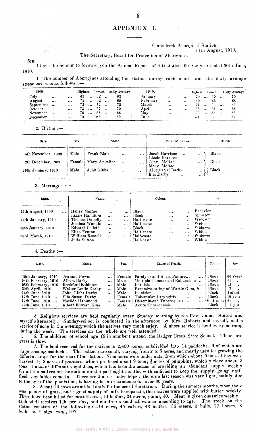## APPENDIX I.

#### Coranderrk Aboriginal Station,

11th August, 1910.

The Secretary, Board for Protection of Aborigines.

SIR, 1910. I have the honour to forward you the Annual Report of this station for the year ended 30th June,

1. The number of Aborigines attending the station during each month and the daily average attendance was as follows : —

| 1909.     |            |           | Highest. |              |     |        | Lowest. Daily Average. | 1910.    |           |           | Highest. |            | Lowest. |                   | Daily Average |  |
|-----------|------------|-----------|----------|--------------|-----|--------|------------------------|----------|-----------|-----------|----------|------------|---------|-------------------|---------------|--|
| July      | $\cdots$   | $\cdots$  | 63       | $\mathbf{r}$ | 62  |        | 62                     | January  | $\cdots$  | $\ddotsc$ | 70.      | $\dddotsc$ | -69     |                   | 70            |  |
| August    | $\cdots$   |           | 72.      | $\cdots$     | 62  | $\sim$ | 65                     | February | $\ddotsc$ | $\cdots$  | 69       | $\cdots$   | 65      |                   | 68            |  |
| September | $\ddotsc$  | $\cdots$  | 73       | $\ddotsc$    | 72  |        | 72                     | March    | $\cdots$  | $\cdots$  |          |            | 63      | $\ddotsc$         | -66           |  |
| October   | $\cdots$   | $\ddotsc$ | 73.      | $\ddotsc$    | -67 |        | 70                     | April    | $\cdots$  | $\cdots$  | 68       | $\ddotsc$  | 6 I     | $\dddot{\bullet}$ | 66            |  |
| November  | $\dddotsc$ | $\cdots$  | 70.      | $\ddotsc$    | 68  |        | -68                    | May      |           | $\cdots$  | 66       | $\ddotsc$  | 55.     | $\ddotsc$         | 56            |  |
| December  | $\cdots$   | $\cdots$  | 70.      | $\ddotsc$    | -67 |        | 69                     | June     |           | $\cdots$  | -61      |            | 55      | $\ddotsc$         | 57            |  |

2. Births :—

| Date.               | Sex. | Name.                |          |          | Parents' Names.                                                      | Colour. |
|---------------------|------|----------------------|----------|----------|----------------------------------------------------------------------|---------|
| 14th November, 1909 | Male | Frank Blair          | $\cdots$ | $\cdots$ | Jacob Harrison<br>$\ddotsc$<br>$\cdots$<br>Lizzie Harrison<br>$\sim$ | Black   |
| 12th December, 1909 |      | Female Mary Angeline | $\cdots$ | $\cdots$ | $\cdots$<br>Alex. McRae<br>$\cdots$<br><br>Mary McRae<br>$\cdots$    | Black   |
| 16th January, 1910  | Male | John Gibbs           |          | $\cdots$ | <br>Albert Carl Darby<br><br>Ella Darby<br>$\cdots$<br>              | Black   |

3. Marriages  $:$ 

| Date.                    |          | Name.                           |                                  |                      |                          | Colour.                  | Sex.                             |                      |  |
|--------------------------|----------|---------------------------------|----------------------------------|----------------------|--------------------------|--------------------------|----------------------------------|----------------------|--|
| <b>25th August, 1909</b> | $\cdots$ | Henry McRae<br>Lizzie Hamilton  | $\cdots$                         |                      | Black<br>Black           | $\cdots$                 | $\cdots$                         | Bachelor<br>Spinster |  |
| 27th January, 1910       | $\cdots$ | Thomas Dunolly<br>Jemima Wandin | $\cdots$<br>$\cdots$<br>$\cdots$ | $\cdots$             | Half-caste<br>Half-caste | $\cdots$<br><br>$\cdots$ | $\cdots$<br>$\cdots$<br>$\cdots$ | Widower<br>Widow     |  |
| 28th January, 1910       |          | Edward Collett<br>Eliza Fenton  | $\cdots$<br>                     | $\cdots$<br>$\cdots$ | Black<br>Half-caste      | $\cdots$<br>             | $\cdots$<br>$\cdots$             | Widower<br>Widow     |  |
| 23rd March, 1910         |          | William Russell<br>Julia Sutton | $\cdots$<br>$\cdots$             |                      | Half-caste<br>Half-caste | $\cdots$<br>$\cdots$     | $\cdots$<br>                     | Widower<br>Widow     |  |

4. Deaths

| Date.                                                                                                                                                                              | Name.                                                                                                                                  |                                                                                   | Sex.                                                                   | Cause of Death.                                                                                                                                                                                                       |                                                          |                                                                      | Colour.                                                                               | Age.                                                                                                                 |
|------------------------------------------------------------------------------------------------------------------------------------------------------------------------------------|----------------------------------------------------------------------------------------------------------------------------------------|-----------------------------------------------------------------------------------|------------------------------------------------------------------------|-----------------------------------------------------------------------------------------------------------------------------------------------------------------------------------------------------------------------|----------------------------------------------------------|----------------------------------------------------------------------|---------------------------------------------------------------------------------------|----------------------------------------------------------------------------------------------------------------------|
| 18th January, 1910<br>24th February, 1910<br>25th February, 1910<br>30th April, 1910<br>16th June, 1910  John Gibbs Darby<br>17th June, 1910<br>17th June, 1910<br>27th June, 1910 | Jeannie Rowan<br>Albert Darby<br>Rochford Robinson<br>Walter Leslie Darby<br>Ella Susan Darby<br>Matilda Hammond<br>Albert Edward King | $\cdots$<br>$\ddotsc$<br>$\cdots$<br>$\cdots$<br>$\cdots$<br>$\cdots$<br>$\cdots$ | Female<br>Male<br>Male<br>Male<br>Male<br>Female  <br>Female  <br>Male | Paralysis and Heart Failure<br>Multiple Tumour and Exhaustion<br>Phthisis<br>$\cdots$<br>Excessive eating of Wattle Gum, &c.<br>Inanition<br>Tubercular Laryngitis<br>Disseminated Tuberculosis<br>Acute Tuberculosis | $\cdots$<br>$\cdots$<br>$\cdots$<br>$\cdots$<br>$\cdots$ | $\cdots$<br>$\cdots$<br>$\cdots$<br>$\cdots$<br>$\cdots$<br>$\cdots$ | Black<br>Black<br>Black<br>Black<br>Black<br>Biack<br>$\ldots$ Half-caste 21<br>Black | 66 years<br>51<br>$\rightarrow$<br>12<br>$\cdots$<br>3<br>$\rightarrow$<br>Infant.<br>19 vears<br>$\cdots$<br>l vear |

5. Religious services are held regularly every Sunday morning by the Rev. James Spittal and myself alternately. Sunday-school is conducted in the afternoon by Mrs. Robarts and myself, and a service of song in the evening, which the natives very much enjoy. A short service is held every morning during the week. The services on the whole are well attended.

6. The children of school age (9 in number) attend the Badger Creek State School. Their progress is slow.

7. The land reserved for the natives is  $2,400$  acres, subdivided into 14 paddocks, 6 of which are large grazing paddocks. The balance are small, varying from 2 to 5 acres, and mostly used for growing the different crops for the use of the station. Nine acres were under oats, from which about 9 tons of hay were harvested; 3 acres of potatoes, which produced about 9 tons;  $\frac{3}{4}$  acres of pumpkins, which yielded about 3 tons; 1 aere of different vegetables, which has been the means of providing an abundant supply weekly for all the natives on the station for the past eight months, with sufficient to keep the supply going until fresh vegetables come in, There are 5 acres under hops; the crop last season was very light, mainly due to the age of the plantation, it having been in existence for over 30 years.

8. About 12 cows are milked daily for the use of the station. During the summer months, when there was plenty of grass, and a good supply of milk to separate, the natives were supplied with butter weekly. There have been killed for meat 2 cows, 14 heifers,  $24$  steers, ; total, 40. Meat is given out twice weekly ; each adult receives 11b. per day, and children a small allowance according to age. The stock on the station consists of the following :—44 cows, 45 calves, 43 heifers, 36 steers, 3 bulls, 12 horses, 8 bullocks, 2 pigs; total, 193.

5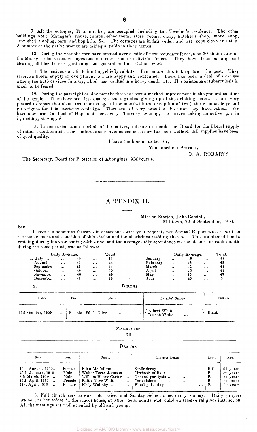9. All the cottages, 17 in number, are occupied, including the Teacher's residence. The other buildings are : Manager's house, church, schoolroom, store rooms, dairy, butcher's shop, work shop, dray shed, stabling, barn, and hop kiln, &c. The cottages are in fair order, and are kept clean and tidy. A number of the native women are taking a pride in their homes.

10. During the year the men have erected over a mile of new boundary fence, also 30 chains around the Manager's house and cottages and re-erected some subdivision fences. They have been burning and clearing off blackberries, gardening, and general routine station work.

11. The natives do a little hunting, chiefly rabbits. I encourage this to keep down the pest. They receive a liberal supply of everything, and are happy and contented. There has been a deal of sickness among the natives since January, which has resulted in a heavy death rate. The existence of tuberculosis is much to bo feared.

12. During the past eight or nine months there has been a marked improvement in the general conduct of the people. There have been less quarrels and a gradual giving up of the drinking habit. I am very pleased to report that about two months ago all the men (with the exception of two), the women, boys and girls signed the total abstinence pledge. They are all very proud of the stand they have taken . We have now formed a Band of Hope and meet every Thursday evening, the natives taking an active part in it, reciting, singing, &c.

13. In conclusion, and on behalf of the natives, I desire to thank the Board for the liberal supply of rations, clothes and other comforts and conveniences necessary for their welfare. All supplies have been of good quality.

1 have the honour to be, Sir,

Your obedient Servant,

C. A. ROBARTS.

The Secretary, Board for Protection of Aborigines, Melbourne.

# APPENDIX II.

#### Mission Station, Lake Condah, Milltown, 22nd September, 1910.

I have the honour to forward, in accordance with your request, my Annual Report with regard to the management and condition of this station and the aborigines residing thereon. The number of blacks residing during the year ending 30th June, and the average daily attendance on the station for each month during the same period, was as follows:—

|           | Daily Average. |    |          | Total. |          |                 | Daily Average. |                         | Total. |
|-----------|----------------|----|----------|--------|----------|-----------------|----------------|-------------------------|--------|
| 1. July   |                | 40 |          | 43     | January  | $\cdots$        | 46             | $\cdots$                | 48     |
| August    |                | 43 | $\cdots$ | 44     | February | $\sim$ 4 $\sim$ | 48             | $\cdots$                | 48     |
| September | $\cdots$       | 42 |          | 44     | March    | $\cdots$        | 42             | $\cdots$                | 49     |
| ∩ctober   | $\cdots$       | 46 |          | 50     | April    | $\cdots$        | 46             | $\cdots$                | 49     |
| November  | $\cdots$       | 46 | $\cdots$ | 49     | May      | $\cdots$        | 46             | $\cdot$ $\cdot$ $\cdot$ | 49     |
| December  | $\cdots$       | 48 | $\cdots$ | 49     | June     | $\cdots$        | 46             | $\cdots$                | 50     |

| Date.              | Sex. | Name.                           | Parents' Names.                                          | Colour. |
|--------------------|------|---------------------------------|----------------------------------------------------------|---------|
| 10th October, 1909 |      | Female Edith Olive<br>$\ddotsc$ | $\cdots$ { Albert White $\cdots$ { Dianah White $\cdots$ | Black   |

BIRTHS.

#### MARRIAGES.

**Nil.** 

| DEATHS.                                                                                                                  |                                            |                                                                                                                                                       |                                                                                                                                                                                                                                                |                                     |                                                            |  |  |  |
|--------------------------------------------------------------------------------------------------------------------------|--------------------------------------------|-------------------------------------------------------------------------------------------------------------------------------------------------------|------------------------------------------------------------------------------------------------------------------------------------------------------------------------------------------------------------------------------------------------|-------------------------------------|------------------------------------------------------------|--|--|--|
| Date.                                                                                                                    | $_{\rm{sex}}$                              | Name.                                                                                                                                                 | Cause of Death.                                                                                                                                                                                                                                | Colour.                             | Age.                                                       |  |  |  |
| 10th August, 1909<br>29th January, 1910<br>8th March, 1910<br>. 1<br>19th April, 1910<br>21st April, 910<br>$\mathbf{r}$ | Female<br>Male<br>Male<br>Female<br>Female | Ellen McCallum<br>$\cdots$<br>Walter Tocas Johnson<br>William Henry Carter<br>$\ddotsc$<br>Edith Olive White<br>$\cdots$<br>Kitty Wallaby<br>$\cdots$ | Senile decay<br>$\ddotsc$<br>$\cdots$<br>$\ddot{\phantom{0}}$<br>Cirrhosis of liver<br>$\cdots$<br>$\cdots$<br>General paralysis<br>$\cdots$<br>$\cdots$<br>Convulsions<br>$\cdots$<br>$\cdots$<br>$\cdots$<br>Blood poisoning<br><br>$\cdots$ | н.с.<br><b>B.</b><br>В.<br>В,<br>В. | 64 years<br>$80$ years<br>59 vears<br>6 months<br>70 years |  |  |  |

3. Full church service was held twice, and Sunday School once, every Sunday. Daily prayers are held as heretofore in the school-house, at which both adults and children receive religious instruction. All the meetings are well attended by old and young.

SIR,

 $2^{\circ}$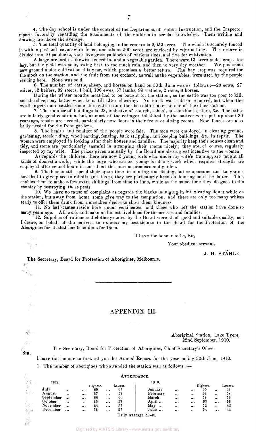5. The total quantity of land belonging to the reserve is 2,050 acres. The whole is securely fenced in with a post and seven-wire fence, and about 500 acres are enclosed by wire netting. The reserve is divided into 10 paddocks, viz : five grass paddocks of various sizes, and five for cultivation.

 ${\bf A}$  large orchard is likewise fenced in, and a vegetable garden. There were 13 acres under crops 'for hay, but the yield was poor, owing first to too much rain, and then to very dry weather. We put some new ground under cultivation this year, which promises a better return. The hay crop was required for the stock on the station, and the fruit from the orchard, as well as the vegetables, were used by the people residing here. None was sold.

6. The number of cattle, sheep, and horses on hand on 30th June was as follows :—28 cows, 27 calves, 32 heifers, 32 steers, 1 bull, 106 ewes, 57 lambs, 99 wethers, 2 rams, 8 horses.

During the winter months meat had to be bought for the station, as the cattle was too poor to kill, and the sheep pay better when kept till after shearing. No stock was sold or removed, but when the weather gets more settled some store cattle can either be sold or taken to one of the other stations.

7. The number of buildings is 23, inclusive of church, school, mission house, store, &c. The latter are in fairly good condition, but, as most of the cottages inhabited by the natives were put up about 30 years ago, repairs are needed, particularly new floors in their front or sitting rooms. New fences are also badly needed for the front gardens.

8. The health and conduct of the people were fair. The men were employed in clearing ground, gardening, stock riding, wood carting, fencing, bark stripping, and keeping buildings, &c, in repair. The women were employed in looking after their houses and families. The majority keep their houses clean and tidy, and some are particularly tasteful in arranging their rooms nicely; they are, of course, regularly inspected by my wife. The prizes given annually by the Board are also a great incentive to the women.

As regards the children, there are now 5 young girls who, under my wife's training, are taught all kinds of domestic work ; while the boys who are too young for doing work which requires strength are employed after school hours in and about the mission premises and garden.

9. The blacks still spend their spare time in hunting and fishing, but, as opossums and kangaroos have had to give place to rabbits and foxes, they are particularly keen on hunting both the latter. This enables them to make a few extra shillings from time to time, while at the same time they do good to the country by destroying these pests.

10. We have no cause of complaint as regards the blacks indulging in intoxicating liquor while on the station, but away from home some give way to the temptation, and there are only too many whites ready to offer them drink from a mistaken desire to show them kindness.

11. No half-castes reside here under certificates, and those who left the station have done so many years ago. All work and make an honest livelihood for themselves and families.

12. Supplies of rations and clothes granted by the Board were all of good and suitable quality, and I desire, on behalf of the natives, to express my best thanks to the Board for the Protection of the Aborigines for all that has been done for them.

I have the honour to be, Sir,

Your obedient servant,

J. H. STAHLE.

The Secretary, Board for Protection of Aborigines, Melbourne.  $\sim \frac{1}{2} \frac{1}{2} \frac{1}{2}$ 

SIR,

誠

游山

糖...<br>一括:

J.

# APPENDIX III.

Aboriginal Station, Lake Tyers, 22nd September, 1910.

The Secretary, Board for Protection of Aborigines, Chief Secretary's Office.

1 have the honour to forward you the Annual Report for the year ending 30th June, 1910.

 $\Lambda$ <sub>m</sub>mn $\Lambda$ <sub>110</sub>

1. The number of aborigines who attended the station was as follows :-

| ÷.     |           |                       |          |          |          | AIIRNDANCE. |                      |          |          |          |              |         |
|--------|-----------|-----------------------|----------|----------|----------|-------------|----------------------|----------|----------|----------|--------------|---------|
| 学校     | 1909.     |                       | 1910.    |          |          |             |                      |          |          |          |              |         |
| 第1     |           |                       |          | Highest. |          | Lowest.     |                      |          |          | Highest. |              | Lowest. |
|        | July      | $\bullet$ + $\bullet$ | $\cdots$ | 69       |          | 67          | January              | $\cdots$ | $\cdots$ | 65       | $\cdots$     | 64      |
| 素金石    | August    | $\cdots$              | $$       | 67       | $\cdots$ | 59          | February             | $\cdots$ | $\cdots$ | 64       | 1.11         | 58      |
|        | September | $\cdots$              | $\cdots$ | 66       | $\cdots$ | 60          | March                | $\cdots$ |          | 58       |              | 56      |
|        | October   | $\cdots$              | $\cdots$ | 65       | $\cdots$ | 52          | April $\ldots$       |          | $\cdots$ | 63       |              | 56      |
| (1000) | November  | $\cdots$              |          | 64       | $\cdots$ | 57          | May<br>$\cdots$      | $\cdots$ |          | 52       | 1.14         | 42      |
| iji st | December  |                       |          | 66       | $\cdots$ | 57          | June                 | $\cdots$ | $+ +$    | 54       | $\sim$ 0. 0. | 44      |
|        |           |                       |          |          |          |             | Daily average 59-40. |          |          |          |              |         |
|        |           |                       |          |          |          |             |                      |          |          |          |              |         |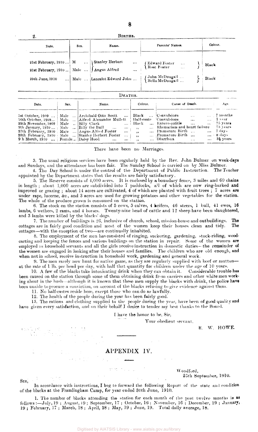| 21st February, 1910 M. Class Herbert  (Edward Foster<br>21st February, 1910 Male  Angus Alfred  (Rose Foster | Date. | Name.<br>Sex. | Parents' Names. | Colour.        |
|--------------------------------------------------------------------------------------------------------------|-------|---------------|-----------------|----------------|
| Male  Lancelot Edward John    {John McDougall<br>  Bella McDougall<br>29th June, 1910                        |       |               |                 | Black<br>Black |

| Date.                                                                                   | Sex. | Name.                                                                                                                                                                                                                                                                                                                                       | Colour.                                                        | Cause of Death.                                                                                                                                                       |              | Age.                                                                                                                      |
|-----------------------------------------------------------------------------------------|------|---------------------------------------------------------------------------------------------------------------------------------------------------------------------------------------------------------------------------------------------------------------------------------------------------------------------------------------------|----------------------------------------------------------------|-----------------------------------------------------------------------------------------------------------------------------------------------------------------------|--------------|---------------------------------------------------------------------------------------------------------------------------|
| 29th November, 1909   Male      Billy Clark  <br>9 h March, 1910    Female   Daisy Hood |      | 1st October, 1909    Male    Archibald Otto Scott   <br>16th October, 1909   Male  [Alfred Alexander Mullett   Half-caste   Convulsions<br>9th January, 1910    Male      Billy the Bull     <br>$\cdots$<br>27th February, 1910, Male  Angus Alfred Foster<br>28th February, 1910   Male    Stanley Herbert Foster<br>$\cdots$<br>$\cdots$ | Black<br>a in the co<br>الموارد المتعدد<br>$\cdots$ . $\cdots$ | Black  Convulsions<br>$\mathbf{r}$<br>$\mathbf{A}$<br>Entero-colitis<br>$\mathbf{r}$<br>Rhematism and heart failure<br>Premature Birth<br>Premature Birth<br>Diarrhœa | $\mathbf{r}$ | $\ldots$ 7 months<br>$\ldots$ 1 year<br>-75 years<br>-73 years<br>$\ldots$ 7 days<br>$\ldots$ 8 days<br>$\ldots$ 3} years |

There have been no Marriages.

3. The usual religious services have been regularly held by the Rev. John Bulmer on week-days and Sundays, and the attendance has been fair. The Sunday School is carried on by Miss Bulmer.

4. The Day School is under the control of the Department of Public Instruction. The Teacher appointed by the Department states that the results are fairly satisfactory.

5. The Reserve consists of 4,000 acres. It is enclosed by a boundary fence, 8 miles and 60 chains in length ; about 1,000 acres are subdivided into 7 paddocks, all of which are now ring-barked and improved or grazing ; about 14 acres are cultivated, 4 of which are planted with fruit trees ; 7 acres are under rape, lucerne, &c, and 3 acres are used for growing potatoes and other vegetables for the station. The whole of the produce grown is consumed on the station.

6. The stock on the station consists of 5 cows, 5 calves, 4 heifers, 46 steers, 1 bull, 41 ewes, 16 lambs, 6 wethers, 2 rams, and 4 horses. Twenty-nine head of cattle and 12 sheep have been slaughtered, and 3 lambs were killed by the blacks' dogs.

7. The number of buildings is 26, inclusive of church, school, mission-house and outbuildings. The cottages are in fairly good condition and most of the women keep their houses clean and tidy. The cottages—with the exception of two—are continually inhabited.

8. The employment of the men has consisted of ringing, suckering, gardening, stock-riding, woodcarting and keeping the fences and various buildings on the station in repair. Some of the women are employed as household servants and all the girls receive instruction in domestic duties- the remainder of the women are engaged in looking after their houses and families. The children who are old enough, and when not in school, receive instruction in household work, gardening and general work.

9. The men rarely now hunt for native game, as they are regularly supplied with beef or mutton at the rate of 1 lb. per head per day, with half that quantity for children under the age of 10 years.

10. A few of the blacks take intoxicating drink when they can obtain it. Considerable trouble has been caused on the station through some of them obtaining drink from carriers and other white men working about in the bush—although it is known that these men supply the blacks with drink, the police have been unable to procure a conviction, on account of the blacks refusing to give evidence against them.

11. No half-castes reside here, except those who can do so lawfully.

12. The health of the people during the year has been fairly good.

13. The rations and clothing supplied to the people during the year, have been of good quality and have given every satisfaction, and on their behalf I desire to tender my best thanks to the Board.

I have the honor to be, Sir,

Your obedient servant,

R. *W.* HOWE.

## APPENDIX IV.

Woodford, 25th September, 1910.

In accordance with instructions, I beg to forward the following Report of the state and condition of the blacks at the Framlingham Camp, for year ended 30th June, 1910,

1. The number of blacks attending the station for each month of the past twelve months is as follows:—July, 19 ; August, 19; September, 17; October, 16; November, 16 ; December, 19 ; January, 19 ; February, 17 ; March, 18 ; April, 18 ; May, 19 ; June, 19. Total daily average, 18.

SIR,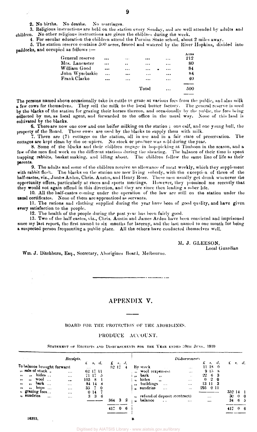2. No births. No deaths. No marriages.

3. Religious instructions are held on the station every Sunday, and are well attended by adults and children. No other religious instructions are given the children during the week.

4. For secular education the children attend the Purnim State school, about 2 miles away.

5. The station reserve contains 500 acres, fenced and watered by the River Hopkins, divided into paddocks, and occupied as follows :—

| General reserve |          | $\cdots$  |           | $\cdots$  | Acres<br>212 |
|-----------------|----------|-----------|-----------|-----------|--------------|
| Mrs. Lancaster  |          | $\cdot$   | $\cdots$  | $\cdots$  | 80           |
| William Good    |          | $\cdots$  |           | $\cdots$  | 84           |
| John Wyselaskie | $\cdots$ |           | $\ddotsc$ |           | 84           |
| Frank Clarke    |          | $\ddotsc$ |           | $\ddotsc$ | 40           |
|                 |          |           |           |           |              |
|                 |          |           | Total     | $\ddotsc$ | 500          |
|                 |          |           |           |           |              |

The persons named above occasionally take in cattle to graze at various fees from the public, and also milk a few cows for themselves. They sell the milk to the local butter factory. The general reserve is used by the blacks of the station for grazing their horses thereon, and occasionally by the public, the fees being collected by me, as local agent, and forwarded to the office in the usual way. None of this land is cultivated by the blacks.

6. There are now one cow and one heifer milking on the station ; one calf, and one young bull, the property of the Board. These cows are used by the blacks to supply them with milk.

7. There are  $(7)$  cottages on the station, all in use and in a fair state of preservation. The cottages are kept clean by the occuipiers. No stock or produce was sold during the year.

8. Some of the blacks and their children engage in hop-picking at Timboon in the season, and a few of the men find work on the different stations during the shearing. The balance of their time is spent trapping rabbits, basket making, and idling about. The children follow the same line of life as their parents.

9. The adults and some of the children receive an allowance of meat weekly, which they supplement with rabbit flesh. The blacks on the station are now living soberly, with the exception of three of the half-castes, viz., James Arden, Chris. Austin, and Henry Rose. These men usually get drunk whenever the opportunity offers, particularly at races and sports meetings. However, they promised me recently that they would not again offend in this direction, and they are since then leading a sober life.

10. All the half-castes coming under the operation of the law are still on the station under the usual certificates. None of them are apprenticed as servants.

11. The rations and clothing supplied during the year have been of good quality, and have given every satisfaction to the people.

12. The health of the people during the past year has been fairly good.

13. Two of the half-castes, viz., Chris. Austin and James Arden have been convicted and imprisoned since my last report, the first named to six months for larceny, and the last named to one month for being a suspected person frequenting a public place. All the others have conducted themselves well.

> M. J. GLEESON, Local Guardian

Wm. J. Ditchburn, Esq., Secretary, Aborigines Board, Melbourne.

## APPENDIX V.

لمستحدث

#### BOARD FOR THE PROTECTION OF THE ABORIGINES.

#### PRODUCE ACCOUNT.

STATEMENT OF RECEIPTS AND DISBURSEMENTS FOR THE YEAR ENDED 30TH JUNE, 1910

|                                                                                                                                                                                                                     | Receipts.                                    |                                   |                                                            |                    |            |               |         |                        |                                                                                                                                    | <b>Disbursements</b>                                                      |                                                   |                      |                                  |                           |                                                |  |
|---------------------------------------------------------------------------------------------------------------------------------------------------------------------------------------------------------------------|----------------------------------------------|-----------------------------------|------------------------------------------------------------|--------------------|------------|---------------|---------|------------------------|------------------------------------------------------------------------------------------------------------------------------------|---------------------------------------------------------------------------|---------------------------------------------------|----------------------|----------------------------------|---------------------------|------------------------------------------------|--|
| To balance brought forward<br>" sale of stock.<br>hides<br>$\mathbf{r}$<br>$\bullet$<br>$\text{wood}$<br>$\bullet\bullet$<br>$\bullet$<br>$bar$ k<br>$\cdots$<br>$\mathbf{H}$<br>hops $\dots$<br>,,<br>$\mathbf{H}$ | $\cdots$<br>$\cdots$<br>$\cdots$<br>$\cdots$ | £<br>$\sim$ $\sim$ $\sim$<br>105. | 8.<br>62 17 11<br>71 17 - 5<br>-8<br>84 14<br>$35 \quad 7$ | - 11.<br>-8<br>- 0 | £<br>52.17 | s, d,         | 4       | $\bullet\bullet$<br>v, | By stock<br>wool (expenses)<br>bark<br>$\bullet\bullet$<br>hides<br>$\bullet$<br>" buildings<br>$\cdots$<br>" sundries<br>$\cdots$ | $\cdots$<br>$\cdots$<br>$\sim$ $\sim$<br>$\cdots$<br>$\cdots$<br>$\cdots$ | 11-18<br>$22-$<br>$\bf{0}$<br>13 11 3<br>295 0 11 | 63<br>$\mathbf{2}$   | s, d,<br>$\theta$<br>9158<br>- 0 | $\mathbf{f}$              | 9. d.                                          |  |
| " grazing fees<br>" sundries<br>$\ddotsc$                                                                                                                                                                           | $\cdots$<br>$\cdots$<br>$\cdots$             | 3                                 | 014<br>-3                                                  | -6                 | 364<br>417 | 3<br>$\bf{0}$ | 2<br>-6 | .,<br>$\mathbf{v}$     | refund of deposit (contract)<br>balance<br>$\sim$ $\sim$                                                                           | $\cdots$                                                                  |                                                   | $\cdots$<br>$\cdots$ |                                  | 352111<br>30<br>34<br>417 | $0\quad 0$<br>6 <sub>5</sub><br>0 <sub>6</sub> |  |

#### **16393. B**